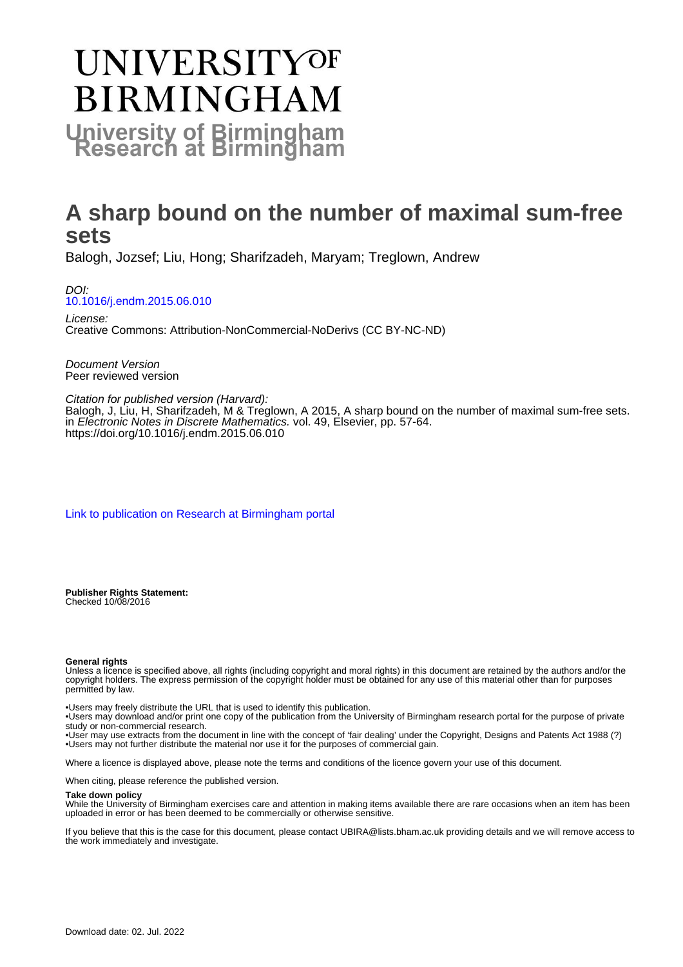# **UNIVERSITYOF BIRMINGHAM University of Birmingham**

# **A sharp bound on the number of maximal sum-free sets**

Balogh, Jozsef; Liu, Hong; Sharifzadeh, Maryam; Treglown, Andrew

DOI: [10.1016/j.endm.2015.06.010](https://doi.org/10.1016/j.endm.2015.06.010)

License: Creative Commons: Attribution-NonCommercial-NoDerivs (CC BY-NC-ND)

Document Version Peer reviewed version

### Citation for published version (Harvard):

Balogh, J, Liu, H, Sharifzadeh, M & Treglown, A 2015, A sharp bound on the number of maximal sum-free sets. in Electronic Notes in Discrete Mathematics. vol. 49, Elsevier, pp. 57-64. <https://doi.org/10.1016/j.endm.2015.06.010>

[Link to publication on Research at Birmingham portal](https://birmingham.elsevierpure.com/en/publications/bf9c7cdd-5616-4a1d-9d82-ba84280ad34a)

**Publisher Rights Statement:** Checked 10/08/2016

#### **General rights**

Unless a licence is specified above, all rights (including copyright and moral rights) in this document are retained by the authors and/or the copyright holders. The express permission of the copyright holder must be obtained for any use of this material other than for purposes permitted by law.

• Users may freely distribute the URL that is used to identify this publication.

• Users may download and/or print one copy of the publication from the University of Birmingham research portal for the purpose of private study or non-commercial research.

• User may use extracts from the document in line with the concept of 'fair dealing' under the Copyright, Designs and Patents Act 1988 (?) • Users may not further distribute the material nor use it for the purposes of commercial gain.

Where a licence is displayed above, please note the terms and conditions of the licence govern your use of this document.

When citing, please reference the published version.

#### **Take down policy**

While the University of Birmingham exercises care and attention in making items available there are rare occasions when an item has been uploaded in error or has been deemed to be commercially or otherwise sensitive.

If you believe that this is the case for this document, please contact UBIRA@lists.bham.ac.uk providing details and we will remove access to the work immediately and investigate.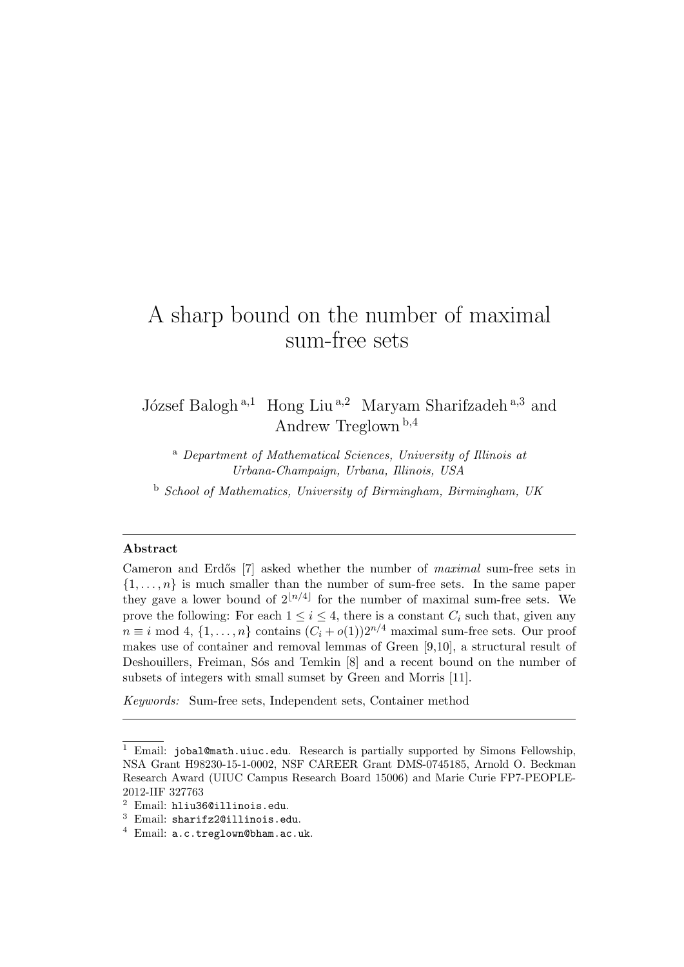## A sharp bound on the number of maximal sum-free sets

József Balogh<sup>a,1</sup> Hong Liu <sup>a,2</sup> Maryam Sharifzadeh <sup>a,3</sup> and Andrew Treglown <sup>b</sup>,<sup>4</sup>

<sup>a</sup> Department of Mathematical Sciences, University of Illinois at Urbana-Champaign, Urbana, Illinois, USA

<sup>b</sup> School of Mathematics, University of Birmingham, Birmingham, UK

### Abstract

Cameron and Erdős [7] asked whether the number of *maximal* sum-free sets in  $\{1, \ldots, n\}$  is much smaller than the number of sum-free sets. In the same paper they gave a lower bound of  $2^{\lfloor n/4 \rfloor}$  for the number of maximal sum-free sets. We prove the following: For each  $1 \leq i \leq 4$ , there is a constant  $C_i$  such that, given any  $n \equiv i \mod 4, \{1, \ldots, n\}$  contains  $(C_i + o(1))2^{n/4}$  maximal sum-free sets. Our proof makes use of container and removal lemmas of Green [9,10], a structural result of Deshouillers, Freiman, Sós and Temkin [8] and a recent bound on the number of subsets of integers with small sumset by Green and Morris [11].

Keywords: Sum-free sets, Independent sets, Container method

<sup>&</sup>lt;sup>1</sup> Email: jobal@math.uiuc.edu. Research is partially supported by Simons Fellowship, NSA Grant H98230-15-1-0002, NSF CAREER Grant DMS-0745185, Arnold O. Beckman Research Award (UIUC Campus Research Board 15006) and Marie Curie FP7-PEOPLE-2012-IIF 327763

<sup>2</sup> Email: hliu36@illinois.edu.

<sup>3</sup> Email: sharifz2@illinois.edu.

<sup>4</sup> Email: a.c.treglown@bham.ac.uk.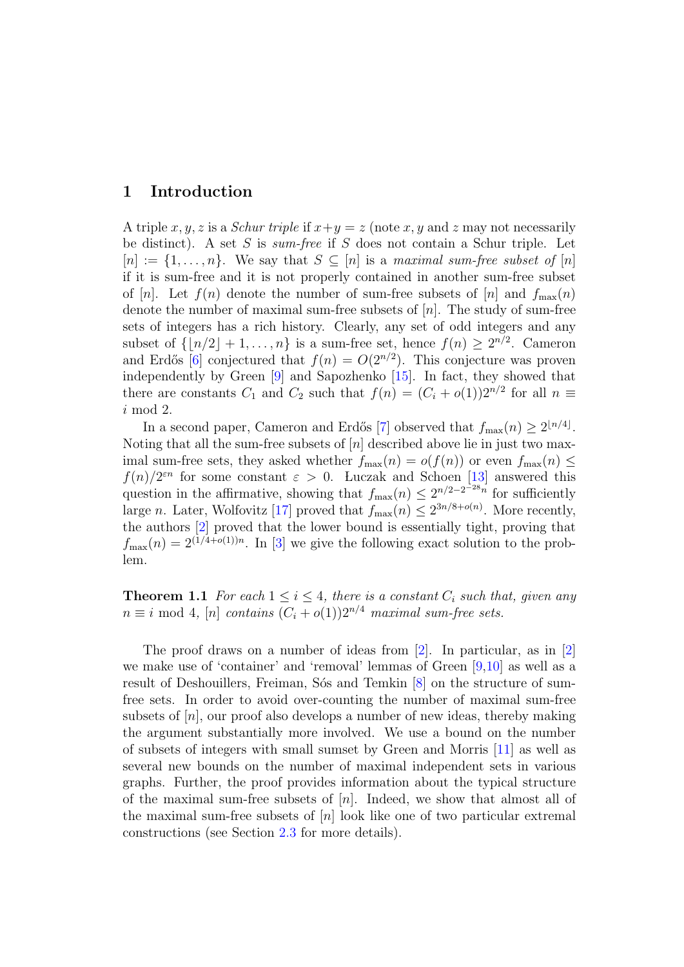### 1 Introduction

A triple x, y, z is a *Schur triple* if  $x+y=z$  (note x, y and z may not necessarily be distinct). A set S is sum-free if S does not contain a Schur triple. Let  $[n] := \{1, \ldots, n\}$ . We say that  $S \subseteq [n]$  is a maximal sum-free subset of  $[n]$ if it is sum-free and it is not properly contained in another sum-free subset of [n]. Let  $f(n)$  denote the number of sum-free subsets of [n] and  $f_{\text{max}}(n)$ denote the number of maximal sum-free subsets of  $[n]$ . The study of sum-free sets of integers has a rich history. Clearly, any set of odd integers and any subset of  $\{|n/2| + 1, \ldots, n\}$  is a sum-free set, hence  $f(n) \geq 2^{n/2}$ . Cameron and Erdős [\[6\]](#page-7-0) conjectured that  $f(n) = O(2^{n/2})$ . This conjecture was proven independently by Green [\[9\]](#page-7-1) and Sapozhenko [\[15\]](#page-7-2). In fact, they showed that there are constants  $C_1$  and  $C_2$  such that  $f(n) = (C_i + o(1))2^{n/2}$  for all  $n \equiv$ i mod 2.

In a second paper, Cameron and Erdős [\[7\]](#page-7-3) observed that  $f_{\text{max}}(n) \geq 2^{\lfloor n/4 \rfloor}$ . Noting that all the sum-free subsets of  $[n]$  described above lie in just two maximal sum-free sets, they asked whether  $f_{\text{max}}(n) = o(f(n))$  or even  $f_{\text{max}}(n) \leq$  $f(n)/2^{\varepsilon n}$  for some constant  $\varepsilon > 0$ . Luczak and Schoen [\[13\]](#page-7-4) answered this question in the affirmative, showing that  $f_{\text{max}}(n) \leq 2^{n/2-2^{-28}n}$  for sufficiently large *n*. Later, Wolfovitz [\[17\]](#page-8-0) proved that  $f_{\text{max}}(n) \leq 2^{3n/8 + o(n)}$ . More recently, the authors [\[2\]](#page-7-5) proved that the lower bound is essentially tight, proving that  $f_{\text{max}}(n) = 2^{(1/4+o(1))n}$ . In [\[3\]](#page-7-6) we give the following exact solution to the problem.

<span id="page-2-0"></span>**Theorem 1.1** For each  $1 \leq i \leq 4$ , there is a constant  $C_i$  such that, given any  $n \equiv i \mod 4$ ,  $[n]$  contains  $\overline{(C_i + o(1))2^{n/4}}$  maximal sum-free sets.

The proof draws on a number of ideas from [\[2\]](#page-7-5). In particular, as in [\[2\]](#page-7-5) we make use of 'container' and 'removal' lemmas of Green [\[9](#page-7-1)[,10\]](#page-7-7) as well as a result of Deshouillers, Freiman, Sós and Temkin [\[8\]](#page-7-8) on the structure of sumfree sets. In order to avoid over-counting the number of maximal sum-free subsets of  $[n]$ , our proof also develops a number of new ideas, thereby making the argument substantially more involved. We use a bound on the number of subsets of integers with small sumset by Green and Morris [\[11\]](#page-7-9) as well as several new bounds on the number of maximal independent sets in various graphs. Further, the proof provides information about the typical structure of the maximal sum-free subsets of  $[n]$ . Indeed, we show that almost all of the maximal sum-free subsets of  $[n]$  look like one of two particular extremal constructions (see Section [2.3](#page-4-0) for more details).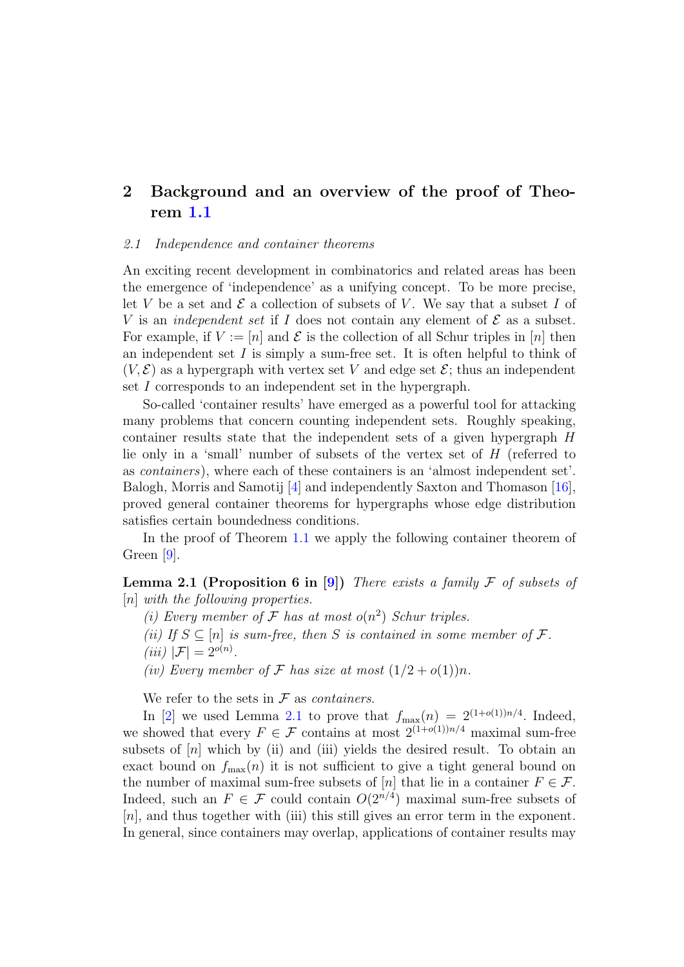### 2 Background and an overview of the proof of Theorem [1.1](#page-2-0)

### 2.1 Independence and container theorems

An exciting recent development in combinatorics and related areas has been the emergence of 'independence' as a unifying concept. To be more precise, let V be a set and  $\mathcal E$  a collection of subsets of V. We say that a subset I of V is an *independent set* if I does not contain any element of  $\mathcal E$  as a subset. For example, if  $V := [n]$  and  $\mathcal E$  is the collection of all Schur triples in [n] then an independent set  $I$  is simply a sum-free set. It is often helpful to think of  $(V, \mathcal{E})$  as a hypergraph with vertex set V and edge set  $\mathcal{E}$ ; thus an independent set I corresponds to an independent set in the hypergraph.

So-called 'container results' have emerged as a powerful tool for attacking many problems that concern counting independent sets. Roughly speaking, container results state that the independent sets of a given hypergraph H lie only in a 'small' number of subsets of the vertex set of  $H$  (referred to as containers), where each of these containers is an 'almost independent set'. Balogh, Morris and Samotij [\[4\]](#page-7-10) and independently Saxton and Thomason [\[16\]](#page-8-1), proved general container theorems for hypergraphs whose edge distribution satisfies certain boundedness conditions.

In the proof of Theorem [1.1](#page-2-0) we apply the following container theorem of Green [\[9\]](#page-7-1).

<span id="page-3-0"></span>**Lemma 2.1 (Proposition 6 in [\[9\]](#page-7-1))** There exists a family  $\mathcal F$  of subsets of [n] with the following properties.

- (i) Every member of  $\mathcal F$  has at most  $o(n^2)$  Schur triples.
- (ii) If  $S \subseteq [n]$  is sum-free, then S is contained in some member of  $\mathcal{F}$ . (iii)  $|\mathcal{F}| = 2^{o(n)}$ .
- (iv) Every member of F has size at most  $(1/2 + o(1))n$ .

We refer to the sets in  $\mathcal F$  as *containers*.

In [\[2\]](#page-7-5) we used Lemma [2.1](#page-3-0) to prove that  $f_{\text{max}}(n) = 2^{(1+o(1))n/4}$ . Indeed, we showed that every  $F \in \mathcal{F}$  contains at most  $2^{(1+o(1))n/4}$  maximal sum-free subsets of  $[n]$  which by (ii) and (iii) yields the desired result. To obtain an exact bound on  $f_{\text{max}}(n)$  it is not sufficient to give a tight general bound on the number of maximal sum-free subsets of [n] that lie in a container  $F \in \mathcal{F}$ . Indeed, such an  $F \in \mathcal{F}$  could contain  $O(2^{n/4})$  maximal sum-free subsets of [n], and thus together with (iii) this still gives an error term in the exponent. In general, since containers may overlap, applications of container results may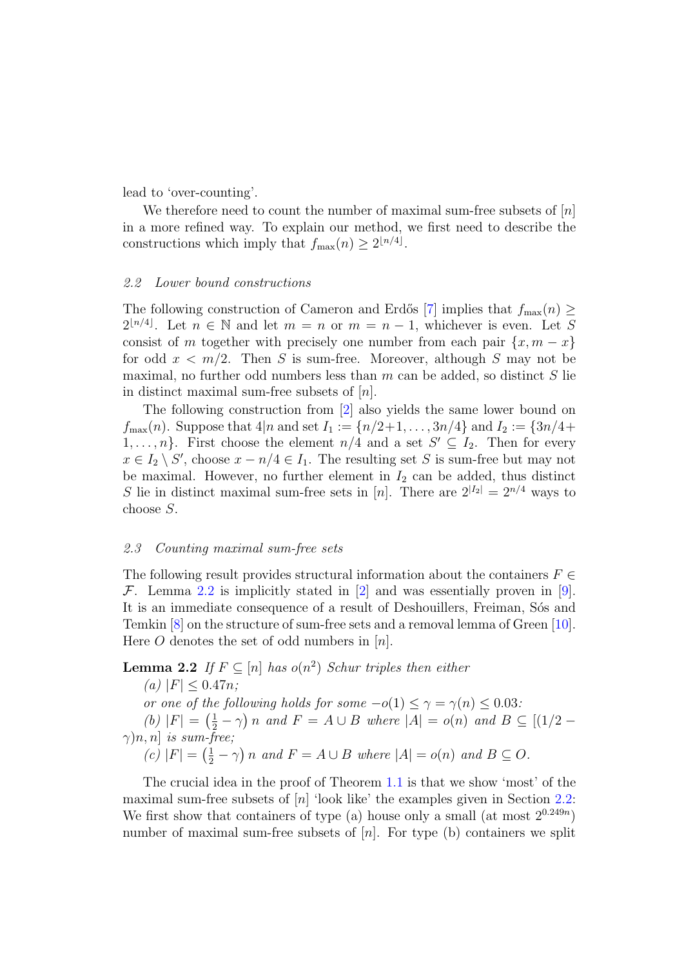lead to 'over-counting'.

We therefore need to count the number of maximal sum-free subsets of  $[n]$ in a more refined way. To explain our method, we first need to describe the constructions which imply that  $f_{\text{max}}(n) \geq 2^{\lfloor n/4 \rfloor}$ .

### <span id="page-4-2"></span>2.2 Lower bound constructions

The following construction of Cameron and Erdős [\[7\]](#page-7-3) implies that  $f_{\text{max}}(n) \geq$  $2^{\lfloor n/4 \rfloor}$ . Let  $n \in \mathbb{N}$  and let  $m = n$  or  $m = n - 1$ , whichever is even. Let S consist of m together with precisely one number from each pair  $\{x, m - x\}$ for odd  $x < m/2$ . Then S is sum-free. Moreover, although S may not be maximal, no further odd numbers less than  $m$  can be added, so distinct  $S$  lie in distinct maximal sum-free subsets of  $[n]$ .

The following construction from [\[2\]](#page-7-5) also yields the same lower bound on  $f_{\text{max}}(n)$ . Suppose that  $4|n$  and set  $I_1 := \{n/2+1, \ldots, 3n/4\}$  and  $I_2 := \{3n/4+\}$  $1, \ldots, n$ . First choose the element  $n/4$  and a set  $S' \subseteq I_2$ . Then for every  $x \in I_2 \setminus S'$ , choose  $x - n/4 \in I_1$ . The resulting set S is sum-free but may not be maximal. However, no further element in  $I_2$  can be added, thus distinct S lie in distinct maximal sum-free sets in [n]. There are  $2^{|I_2|} = 2^{n/4}$  ways to choose S.

### <span id="page-4-0"></span>2.3 Counting maximal sum-free sets

The following result provides structural information about the containers  $F \in$ F. Lemma [2.2](#page-4-1) is implicitly stated in [\[2\]](#page-7-5) and was essentially proven in [\[9\]](#page-7-1). It is an immediate consequence of a result of Deshouillers, Freiman, Sos and Temkin [\[8\]](#page-7-8) on the structure of sum-free sets and a removal lemma of Green [\[10\]](#page-7-7). Here  $O$  denotes the set of odd numbers in  $[n]$ .

### <span id="page-4-1"></span>**Lemma 2.2** If  $F \subseteq [n]$  has  $o(n^2)$  Schur triples then either

 $(a)$  |F|  $\leq 0.47n$ ; or one of the following holds for some  $-o(1) \leq \gamma = \gamma(n) \leq 0.03$ : (b)  $|F| = \left(\frac{1}{2} - \gamma\right)n$  and  $F = A \cup B$  where  $|A| = o(n)$  and  $B \subseteq [(1/2 \gamma$ )n, n] is sum-free; (c)  $|F| = \left(\frac{1}{2} - \gamma\right)n$  and  $F = A \cup B$  where  $|A| = o(n)$  and  $B \subseteq O$ .

The crucial idea in the proof of Theorem [1.1](#page-2-0) is that we show 'most' of the maximal sum-free subsets of  $[n]$  'look like' the examples given in Section [2.2:](#page-4-2) We first show that containers of type (a) house only a small (at most  $2^{0.249n}$ ) number of maximal sum-free subsets of  $[n]$ . For type (b) containers we split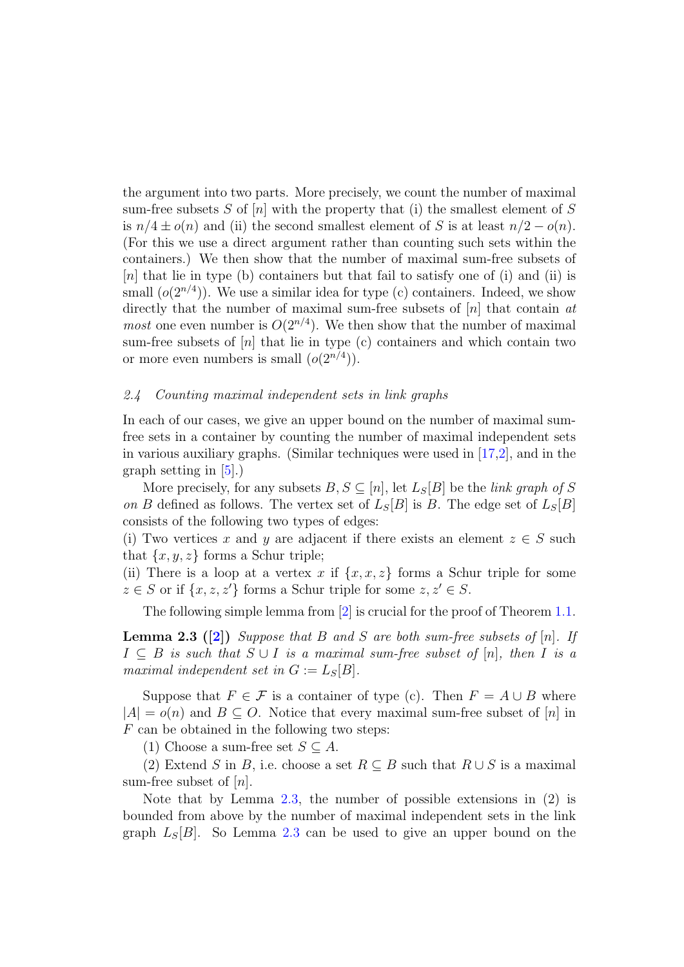the argument into two parts. More precisely, we count the number of maximal sum-free subsets S of  $[n]$  with the property that (i) the smallest element of S is  $n/4 \pm o(n)$  and (ii) the second smallest element of S is at least  $n/2 - o(n)$ . (For this we use a direct argument rather than counting such sets within the containers.) We then show that the number of maximal sum-free subsets of [n] that lie in type (b) containers but that fail to satisfy one of (i) and (ii) is small  $(o(2^{n/4}))$ . We use a similar idea for type (c) containers. Indeed, we show directly that the number of maximal sum-free subsets of  $[n]$  that contain at *most* one even number is  $O(2^{n/4})$ . We then show that the number of maximal sum-free subsets of  $[n]$  that lie in type  $(c)$  containers and which contain two or more even numbers is small  $(o(2^{n/4}))$ .

### 2.4 Counting maximal independent sets in link graphs

In each of our cases, we give an upper bound on the number of maximal sumfree sets in a container by counting the number of maximal independent sets in various auxiliary graphs. (Similar techniques were used in [\[17,](#page-8-0)[2\]](#page-7-5), and in the graph setting in [\[5\]](#page-7-11).)

More precisely, for any subsets  $B, S \subseteq [n]$ , let  $L_S[B]$  be the link graph of S on B defined as follows. The vertex set of  $L_S[B]$  is B. The edge set of  $L_S[B]$ consists of the following two types of edges:

(i) Two vertices x and y are adjacent if there exists an element  $z \in S$  such that  $\{x, y, z\}$  forms a Schur triple;

(ii) There is a loop at a vertex x if  $\{x, x, z\}$  forms a Schur triple for some  $z \in S$  or if  $\{x, z, z'\}$  forms a Schur triple for some  $z, z' \in S$ .

The following simple lemma from [\[2\]](#page-7-5) is crucial for the proof of Theorem [1.1.](#page-2-0)

<span id="page-5-0"></span>**Lemma 2.3** ([\[2\]](#page-7-5)) Suppose that B and S are both sum-free subsets of [n]. If  $I \subseteq B$  is such that  $S \cup I$  is a maximal sum-free subset of [n], then I is a maximal independent set in  $G := L_S[B]$ .

Suppose that  $F \in \mathcal{F}$  is a container of type (c). Then  $F = A \cup B$  where  $|A| = o(n)$  and  $B \subseteq O$ . Notice that every maximal sum-free subset of [n] in  $F$  can be obtained in the following two steps:

(1) Choose a sum-free set  $S \subseteq A$ .

(2) Extend S in B, i.e. choose a set  $R \subseteq B$  such that  $R \cup S$  is a maximal sum-free subset of  $|n|$ .

Note that by Lemma [2.3,](#page-5-0) the number of possible extensions in (2) is bounded from above by the number of maximal independent sets in the link graph  $L_S[B]$ . So Lemma [2.3](#page-5-0) can be used to give an upper bound on the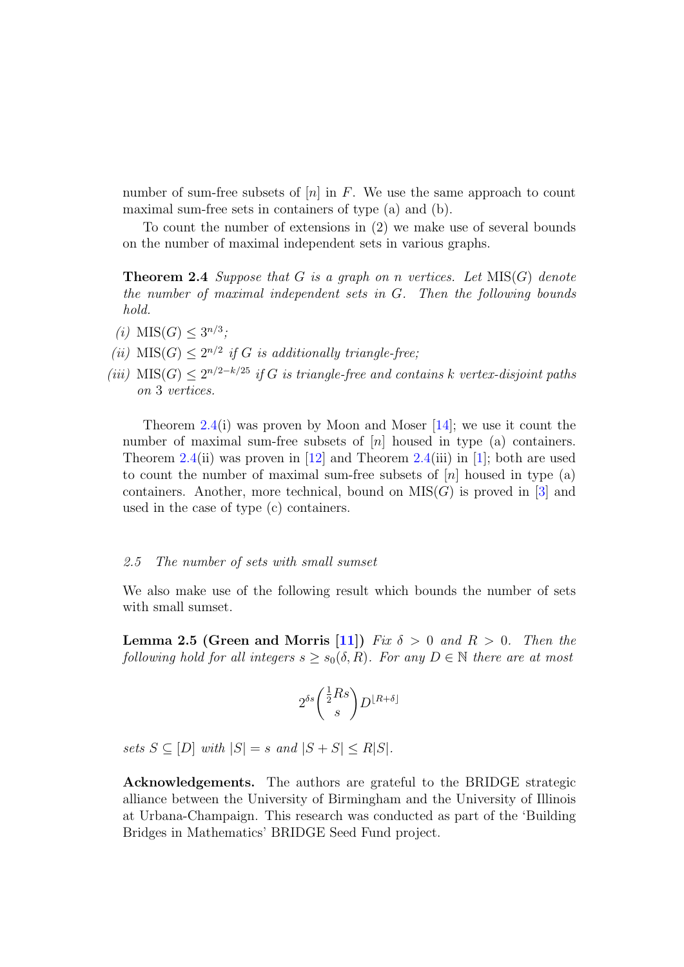number of sum-free subsets of  $[n]$  in F. We use the same approach to count maximal sum-free sets in containers of type (a) and (b).

To count the number of extensions in (2) we make use of several bounds on the number of maximal independent sets in various graphs.

<span id="page-6-0"></span>**Theorem 2.4** Suppose that G is a graph on n vertices. Let  $MIS(G)$  denote the number of maximal independent sets in G. Then the following bounds hold.

- (*i*) MIS(*G*)  $\leq 3^{n/3}$ ;
- (ii)  $MIS(G) \leq 2^{n/2}$  if G is additionally triangle-free;
- (iii) MIS(G)  $\leq 2^{n/2-k/25}$  if G is triangle-free and contains k vertex-disjoint paths on 3 vertices.

Theorem [2.4\(](#page-6-0)i) was proven by Moon and Moser  $[14]$ ; we use it count the number of maximal sum-free subsets of  $[n]$  housed in type (a) containers. Theorem [2.4\(](#page-6-0)ii) was proven in [\[12\]](#page-7-13) and Theorem 2.4(iii) in [\[1\]](#page-7-14); both are used to count the number of maximal sum-free subsets of  $[n]$  housed in type  $(a)$ containers. Another, more technical, bound on  $MIS(G)$  is proved in [\[3\]](#page-7-6) and used in the case of type (c) containers.

### 2.5 The number of sets with small sumset

We also make use of the following result which bounds the number of sets with small sumset.

**Lemma 2.5 (Green and Morris [\[11\]](#page-7-9))** Fix  $\delta > 0$  and  $R > 0$ . Then the following hold for all integers  $s \geq s_0(\delta, R)$ . For any  $D \in \mathbb{N}$  there are at most

$$
2^{\delta s} \binom{\frac{1}{2}Rs}{s} D^{\lfloor R+\delta \rfloor}
$$

sets  $S \subseteq [D]$  with  $|S| = s$  and  $|S + S| \le R|S|$ .

Acknowledgements. The authors are grateful to the BRIDGE strategic alliance between the University of Birmingham and the University of Illinois at Urbana-Champaign. This research was conducted as part of the 'Building Bridges in Mathematics' BRIDGE Seed Fund project.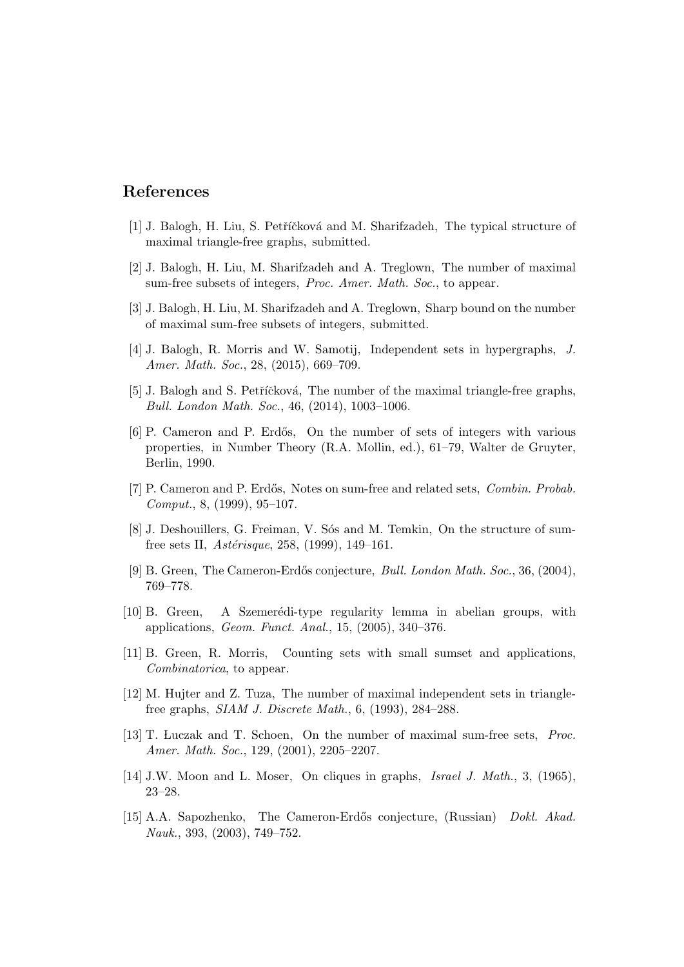### References

- <span id="page-7-14"></span>[1] J. Balogh, H. Liu, S. Petříčková and M. Sharifzadeh, The typical structure of maximal triangle-free graphs, submitted.
- <span id="page-7-5"></span>[2] J. Balogh, H. Liu, M. Sharifzadeh and A. Treglown, The number of maximal sum-free subsets of integers, *Proc. Amer. Math. Soc.*, to appear.
- <span id="page-7-6"></span>[3] J. Balogh, H. Liu, M. Sharifzadeh and A. Treglown, Sharp bound on the number of maximal sum-free subsets of integers, submitted.
- <span id="page-7-10"></span>[4] J. Balogh, R. Morris and W. Samotij, Independent sets in hypergraphs, J. Amer. Math. Soc., 28, (2015), 669–709.
- <span id="page-7-11"></span>[5] J. Balogh and S. Petříčková, The number of the maximal triangle-free graphs, Bull. London Math. Soc., 46, (2014), 1003–1006.
- <span id="page-7-0"></span>[6] P. Cameron and P. Erd˝os, On the number of sets of integers with various properties, in Number Theory (R.A. Mollin, ed.), 61–79, Walter de Gruyter, Berlin, 1990.
- <span id="page-7-3"></span>[7] P. Cameron and P. Erdős, Notes on sum-free and related sets, *Combin. Probab.* Comput., 8, (1999), 95–107.
- <span id="page-7-8"></span>[8] J. Deshouillers, G. Freiman, V. Sós and M. Temkin, On the structure of sumfree sets II,  $Ast\acute{e}risque$ , 258, (1999), 149–161.
- <span id="page-7-1"></span>[9] B. Green, The Cameron-Erdős conjecture, *Bull. London Math. Soc.*, 36, (2004), 769–778.
- <span id="page-7-7"></span>[10] B. Green, A Szemerédi-type regularity lemma in abelian groups, with applications, Geom. Funct. Anal., 15, (2005), 340–376.
- <span id="page-7-9"></span>[11] B. Green, R. Morris, Counting sets with small sumset and applications, Combinatorica, to appear.
- <span id="page-7-13"></span>[12] M. Hujter and Z. Tuza, The number of maximal independent sets in trianglefree graphs, SIAM J. Discrete Math., 6, (1993), 284–288.
- <span id="page-7-4"></span>[13] T. Luczak and T. Schoen, On the number of maximal sum-free sets, Proc. Amer. Math. Soc., 129, (2001), 2205–2207.
- <span id="page-7-12"></span>[14] J.W. Moon and L. Moser, On cliques in graphs, Israel J. Math., 3, (1965), 23–28.
- <span id="page-7-2"></span>[15] A.A. Sapozhenko, The Cameron-Erdős conjecture, (Russian) Dokl. Akad. Nauk., 393, (2003), 749–752.